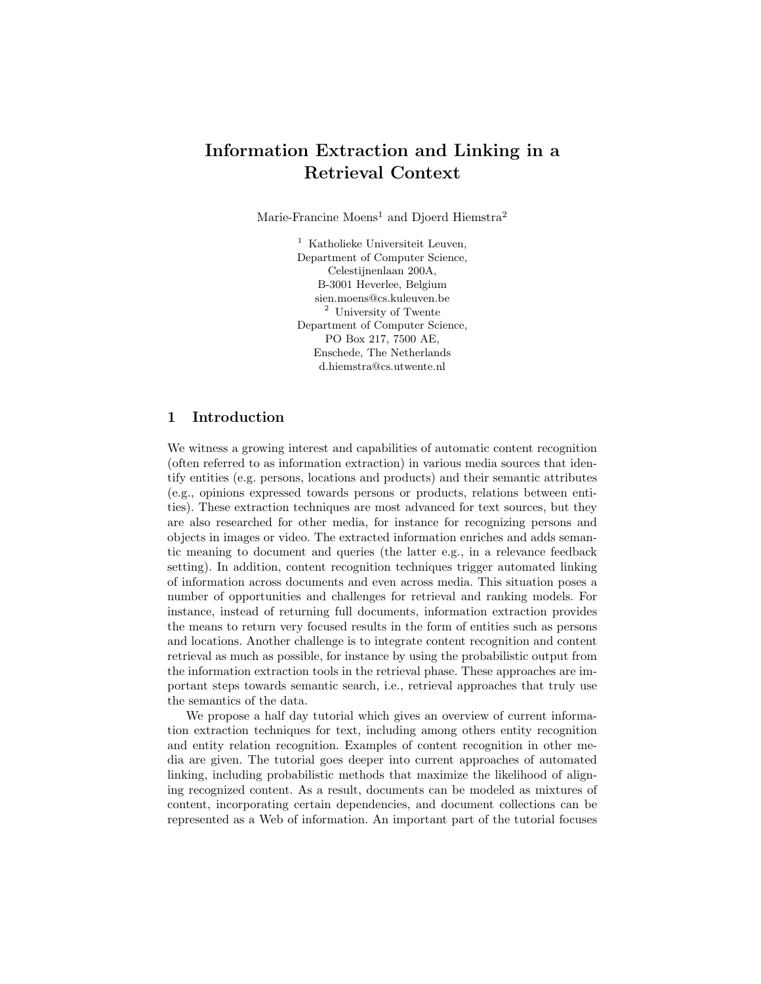# Information Extraction and Linking in a Retrieval Context

Marie-Francine Moens<sup>1</sup> and Djoerd Hiemstra<sup>2</sup>

<sup>1</sup> Katholieke Universiteit Leuven, Department of Computer Science, Celestijnenlaan 200A, B-3001 Heverlee, Belgium sien.moens@cs.kuleuven.be <sup>2</sup> University of Twente Department of Computer Science, PO Box 217, 7500 AE, Enschede, The Netherlands d.hiemstra@cs.utwente.nl

## 1 Introduction

We witness a growing interest and capabilities of automatic content recognition (often referred to as information extraction) in various media sources that identify entities (e.g. persons, locations and products) and their semantic attributes (e.g., opinions expressed towards persons or products, relations between entities). These extraction techniques are most advanced for text sources, but they are also researched for other media, for instance for recognizing persons and objects in images or video. The extracted information enriches and adds semantic meaning to document and queries (the latter e.g., in a relevance feedback setting). In addition, content recognition techniques trigger automated linking of information across documents and even across media. This situation poses a number of opportunities and challenges for retrieval and ranking models. For instance, instead of returning full documents, information extraction provides the means to return very focused results in the form of entities such as persons and locations. Another challenge is to integrate content recognition and content retrieval as much as possible, for instance by using the probabilistic output from the information extraction tools in the retrieval phase. These approaches are important steps towards semantic search, i.e., retrieval approaches that truly use the semantics of the data.

We propose a half day tutorial which gives an overview of current information extraction techniques for text, including among others entity recognition and entity relation recognition. Examples of content recognition in other media are given. The tutorial goes deeper into current approaches of automated linking, including probabilistic methods that maximize the likelihood of aligning recognized content. As a result, documents can be modeled as mixtures of content, incorporating certain dependencies, and document collections can be represented as a Web of information. An important part of the tutorial focuses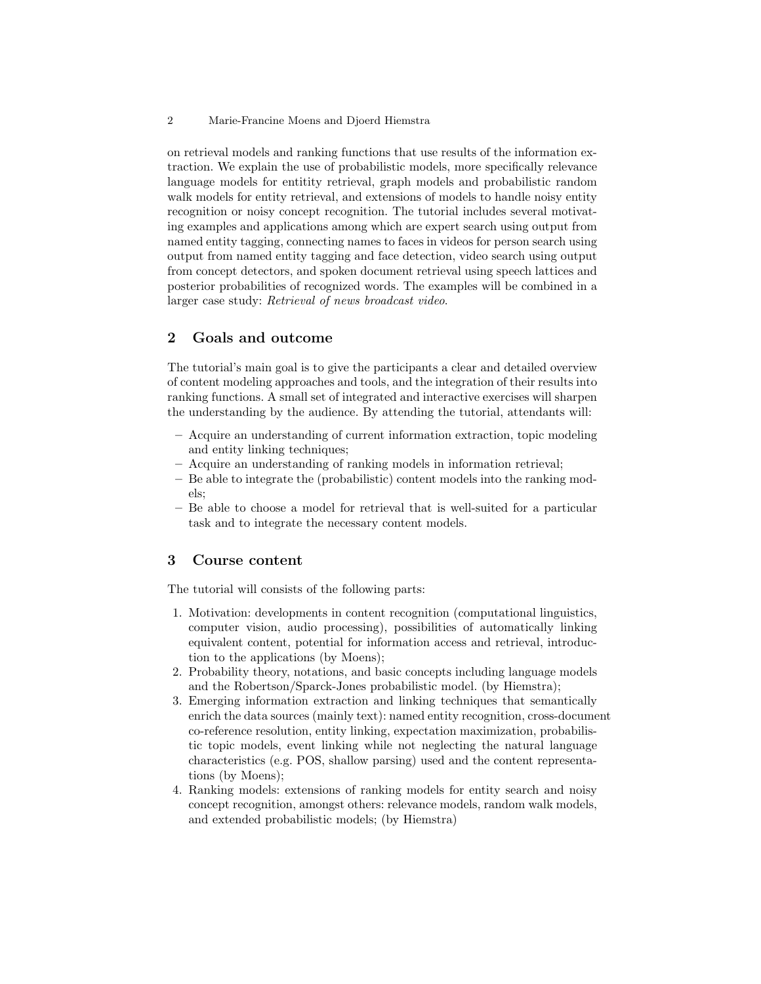on retrieval models and ranking functions that use results of the information extraction. We explain the use of probabilistic models, more specifically relevance language models for entitity retrieval, graph models and probabilistic random walk models for entity retrieval, and extensions of models to handle noisy entity recognition or noisy concept recognition. The tutorial includes several motivating examples and applications among which are expert search using output from named entity tagging, connecting names to faces in videos for person search using output from named entity tagging and face detection, video search using output from concept detectors, and spoken document retrieval using speech lattices and posterior probabilities of recognized words. The examples will be combined in a larger case study: Retrieval of news broadcast video.

## 2 Goals and outcome

The tutorial's main goal is to give the participants a clear and detailed overview of content modeling approaches and tools, and the integration of their results into ranking functions. A small set of integrated and interactive exercises will sharpen the understanding by the audience. By attending the tutorial, attendants will:

- Acquire an understanding of current information extraction, topic modeling and entity linking techniques;
- Acquire an understanding of ranking models in information retrieval;
- Be able to integrate the (probabilistic) content models into the ranking models;
- Be able to choose a model for retrieval that is well-suited for a particular task and to integrate the necessary content models.

## 3 Course content

The tutorial will consists of the following parts:

- 1. Motivation: developments in content recognition (computational linguistics, computer vision, audio processing), possibilities of automatically linking equivalent content, potential for information access and retrieval, introduction to the applications (by Moens);
- 2. Probability theory, notations, and basic concepts including language models and the Robertson/Sparck-Jones probabilistic model. (by Hiemstra);
- 3. Emerging information extraction and linking techniques that semantically enrich the data sources (mainly text): named entity recognition, cross-document co-reference resolution, entity linking, expectation maximization, probabilistic topic models, event linking while not neglecting the natural language characteristics (e.g. POS, shallow parsing) used and the content representations (by Moens);
- 4. Ranking models: extensions of ranking models for entity search and noisy concept recognition, amongst others: relevance models, random walk models, and extended probabilistic models; (by Hiemstra)

<sup>2</sup> Marie-Francine Moens and Djoerd Hiemstra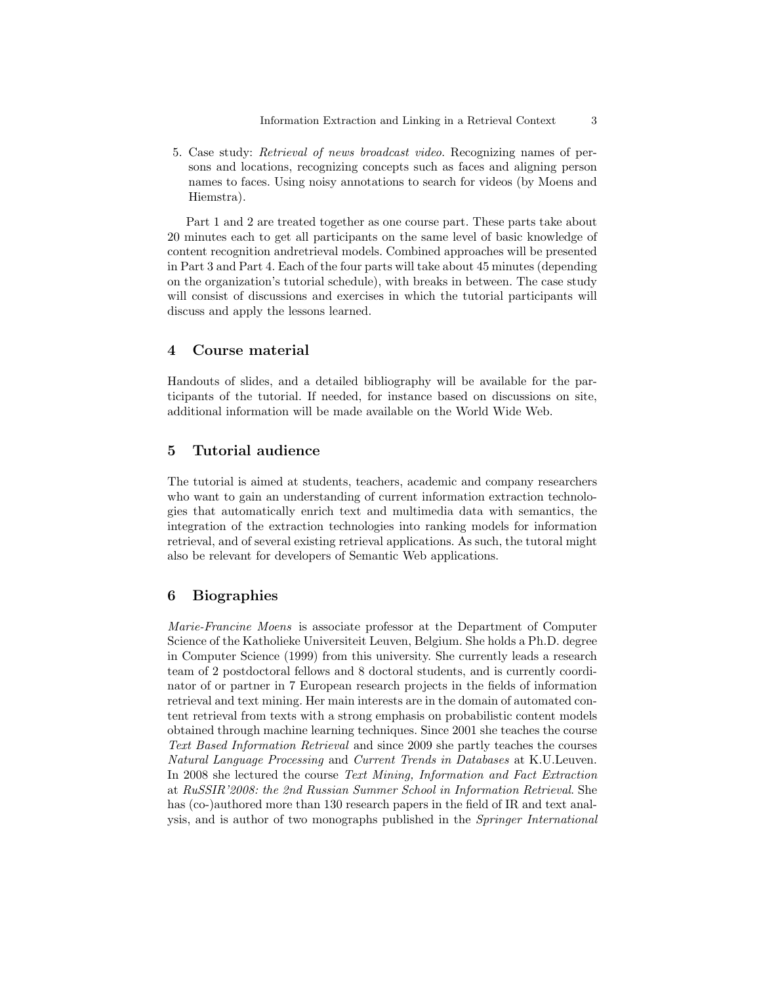5. Case study: Retrieval of news broadcast video. Recognizing names of persons and locations, recognizing concepts such as faces and aligning person names to faces. Using noisy annotations to search for videos (by Moens and Hiemstra).

Part 1 and 2 are treated together as one course part. These parts take about 20 minutes each to get all participants on the same level of basic knowledge of content recognition andretrieval models. Combined approaches will be presented in Part 3 and Part 4. Each of the four parts will take about 45 minutes (depending on the organization's tutorial schedule), with breaks in between. The case study will consist of discussions and exercises in which the tutorial participants will discuss and apply the lessons learned.

### 4 Course material

Handouts of slides, and a detailed bibliography will be available for the participants of the tutorial. If needed, for instance based on discussions on site, additional information will be made available on the World Wide Web.

## 5 Tutorial audience

The tutorial is aimed at students, teachers, academic and company researchers who want to gain an understanding of current information extraction technologies that automatically enrich text and multimedia data with semantics, the integration of the extraction technologies into ranking models for information retrieval, and of several existing retrieval applications. As such, the tutoral might also be relevant for developers of Semantic Web applications.

## 6 Biographies

Marie-Francine Moens is associate professor at the Department of Computer Science of the Katholieke Universiteit Leuven, Belgium. She holds a Ph.D. degree in Computer Science (1999) from this university. She currently leads a research team of 2 postdoctoral fellows and 8 doctoral students, and is currently coordinator of or partner in 7 European research projects in the fields of information retrieval and text mining. Her main interests are in the domain of automated content retrieval from texts with a strong emphasis on probabilistic content models obtained through machine learning techniques. Since 2001 she teaches the course Text Based Information Retrieval and since 2009 she partly teaches the courses Natural Language Processing and Current Trends in Databases at K.U.Leuven. In 2008 she lectured the course Text Mining, Information and Fact Extraction at RuSSIR'2008: the 2nd Russian Summer School in Information Retrieval. She has (co-)authored more than 130 research papers in the field of IR and text analysis, and is author of two monographs published in the Springer International